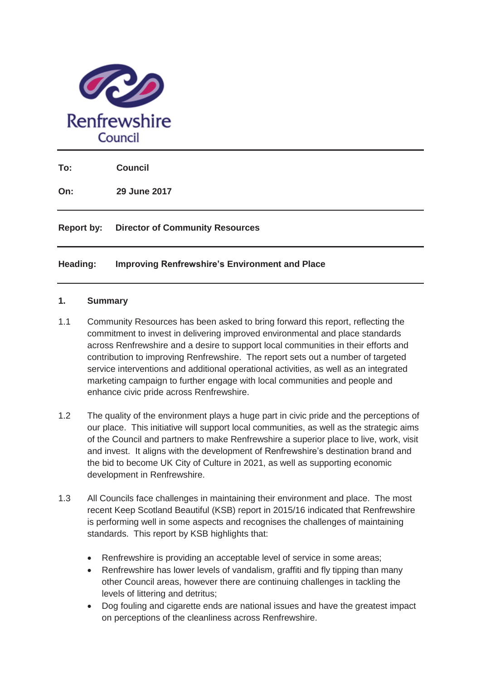

**To: Council** 

**On: 29 June 2017** 

#### **Report by: Director of Community Resources**

#### **Heading: Improving Renfrewshire's Environment and Place**

#### **1. Summary**

- 1.1 Community Resources has been asked to bring forward this report, reflecting the commitment to invest in delivering improved environmental and place standards across Renfrewshire and a desire to support local communities in their efforts and contribution to improving Renfrewshire. The report sets out a number of targeted service interventions and additional operational activities, as well as an integrated marketing campaign to further engage with local communities and people and enhance civic pride across Renfrewshire.
- 1.2 The quality of the environment plays a huge part in civic pride and the perceptions of our place. This initiative will support local communities, as well as the strategic aims of the Council and partners to make Renfrewshire a superior place to live, work, visit and invest. It aligns with the development of Renfrewshire's destination brand and the bid to become UK City of Culture in 2021, as well as supporting economic development in Renfrewshire.
- 1.3 All Councils face challenges in maintaining their environment and place. The most recent Keep Scotland Beautiful (KSB) report in 2015/16 indicated that Renfrewshire is performing well in some aspects and recognises the challenges of maintaining standards. This report by KSB highlights that:
	- Renfrewshire is providing an acceptable level of service in some areas;
	- Renfrewshire has lower levels of vandalism, graffiti and fly tipping than many other Council areas, however there are continuing challenges in tackling the levels of littering and detritus;
	- Dog fouling and cigarette ends are national issues and have the greatest impact on perceptions of the cleanliness across Renfrewshire.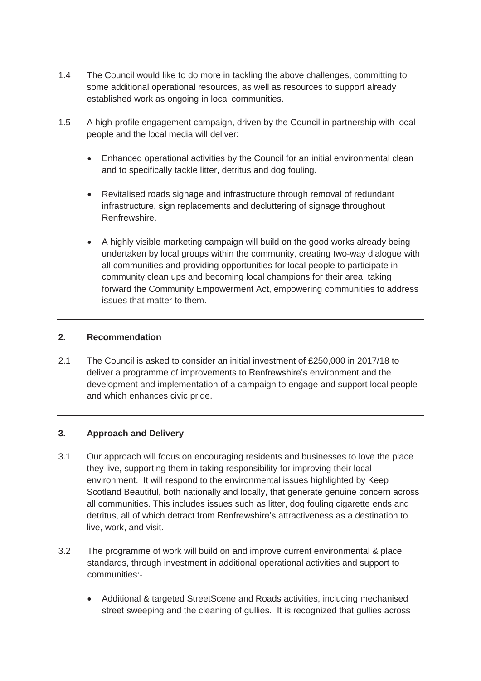- 1.4 The Council would like to do more in tackling the above challenges, committing to some additional operational resources, as well as resources to support already established work as ongoing in local communities.
- 1.5 A high-profile engagement campaign, driven by the Council in partnership with local people and the local media will deliver:
	- Enhanced operational activities by the Council for an initial environmental clean and to specifically tackle litter, detritus and dog fouling.
	- Revitalised roads signage and infrastructure through removal of redundant infrastructure, sign replacements and decluttering of signage throughout Renfrewshire.
	- A highly visible marketing campaign will build on the good works already being undertaken by local groups within the community, creating two-way dialogue with all communities and providing opportunities for local people to participate in community clean ups and becoming local champions for their area, taking forward the Community Empowerment Act, empowering communities to address issues that matter to them.

#### **2. Recommendation**

2.1 The Council is asked to consider an initial investment of £250,000 in 2017/18 to deliver a programme of improvements to Renfrewshire's environment and the development and implementation of a campaign to engage and support local people and which enhances civic pride.

#### **3. Approach and Delivery**

- 3.1 Our approach will focus on encouraging residents and businesses to love the place they live, supporting them in taking responsibility for improving their local environment. It will respond to the environmental issues highlighted by Keep Scotland Beautiful, both nationally and locally, that generate genuine concern across all communities. This includes issues such as litter, dog fouling cigarette ends and detritus, all of which detract from Renfrewshire's attractiveness as a destination to live, work, and visit.
- 3.2 The programme of work will build on and improve current environmental & place standards, through investment in additional operational activities and support to communities:-
	- Additional & targeted StreetScene and Roads activities, including mechanised street sweeping and the cleaning of gullies. It is recognized that gullies across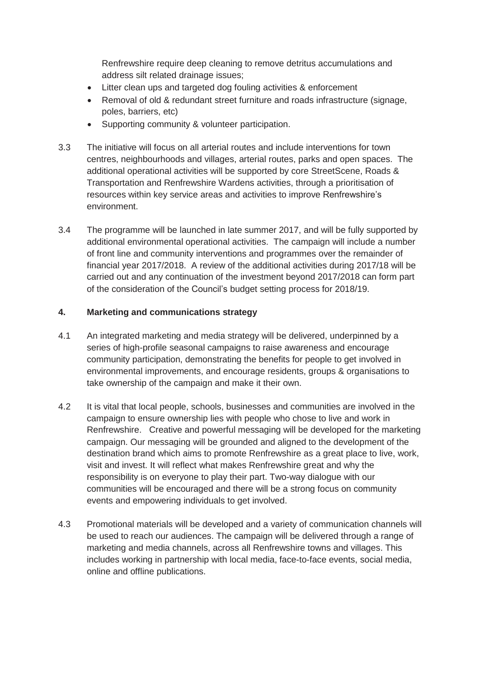Renfrewshire require deep cleaning to remove detritus accumulations and address silt related drainage issues;

- Litter clean ups and targeted dog fouling activities & enforcement
- Removal of old & redundant street furniture and roads infrastructure (signage, poles, barriers, etc)
- Supporting community & volunteer participation.
- 3.3 The initiative will focus on all arterial routes and include interventions for town centres, neighbourhoods and villages, arterial routes, parks and open spaces. The additional operational activities will be supported by core StreetScene, Roads & Transportation and Renfrewshire Wardens activities, through a prioritisation of resources within key service areas and activities to improve Renfrewshire's environment.
- 3.4 The programme will be launched in late summer 2017, and will be fully supported by additional environmental operational activities. The campaign will include a number of front line and community interventions and programmes over the remainder of financial year 2017/2018. A review of the additional activities during 2017/18 will be carried out and any continuation of the investment beyond 2017/2018 can form part of the consideration of the Council's budget setting process for 2018/19.

#### **4. Marketing and communications strategy**

- 4.1 An integrated marketing and media strategy will be delivered, underpinned by a series of high-profile seasonal campaigns to raise awareness and encourage community participation, demonstrating the benefits for people to get involved in environmental improvements, and encourage residents, groups & organisations to take ownership of the campaign and make it their own.
- 4.2 It is vital that local people, schools, businesses and communities are involved in the campaign to ensure ownership lies with people who chose to live and work in Renfrewshire. Creative and powerful messaging will be developed for the marketing campaign. Our messaging will be grounded and aligned to the development of the destination brand which aims to promote Renfrewshire as a great place to live, work, visit and invest. It will reflect what makes Renfrewshire great and why the responsibility is on everyone to play their part. Two-way dialogue with our communities will be encouraged and there will be a strong focus on community events and empowering individuals to get involved.
- 4.3 Promotional materials will be developed and a variety of communication channels will be used to reach our audiences. The campaign will be delivered through a range of marketing and media channels, across all Renfrewshire towns and villages. This includes working in partnership with local media, face-to-face events, social media, online and offline publications.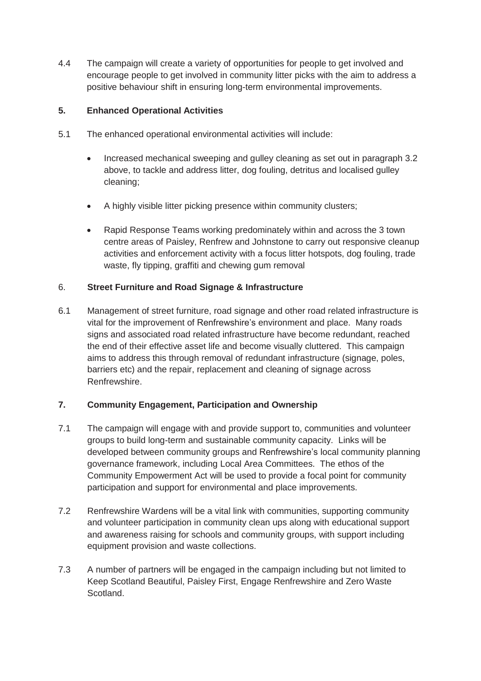4.4 The campaign will create a variety of opportunities for people to get involved and encourage people to get involved in community litter picks with the aim to address a positive behaviour shift in ensuring long-term environmental improvements.

### **5. Enhanced Operational Activities**

- 5.1 The enhanced operational environmental activities will include:
	- Increased mechanical sweeping and gulley cleaning as set out in paragraph 3.2 above, to tackle and address litter, dog fouling, detritus and localised gulley cleaning;
	- A highly visible litter picking presence within community clusters;
	- Rapid Response Teams working predominately within and across the 3 town centre areas of Paisley, Renfrew and Johnstone to carry out responsive cleanup activities and enforcement activity with a focus litter hotspots, dog fouling, trade waste, fly tipping, graffiti and chewing gum removal

# 6. **Street Furniture and Road Signage & Infrastructure**

6.1 Management of street furniture, road signage and other road related infrastructure is vital for the improvement of Renfrewshire's environment and place. Many roads signs and associated road related infrastructure have become redundant, reached the end of their effective asset life and become visually cluttered. This campaign aims to address this through removal of redundant infrastructure (signage, poles, barriers etc) and the repair, replacement and cleaning of signage across Renfrewshire.

### **7. Community Engagement, Participation and Ownership**

- 7.1 The campaign will engage with and provide support to, communities and volunteer groups to build long-term and sustainable community capacity. Links will be developed between community groups and Renfrewshire's local community planning governance framework, including Local Area Committees. The ethos of the Community Empowerment Act will be used to provide a focal point for community participation and support for environmental and place improvements.
- 7.2 Renfrewshire Wardens will be a vital link with communities, supporting community and volunteer participation in community clean ups along with educational support and awareness raising for schools and community groups, with support including equipment provision and waste collections.
- 7.3 A number of partners will be engaged in the campaign including but not limited to Keep Scotland Beautiful, Paisley First, Engage Renfrewshire and Zero Waste Scotland.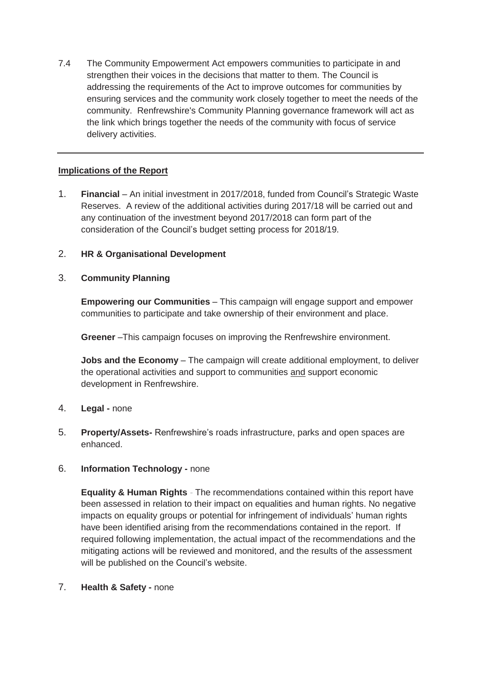7.4 The Community Empowerment Act empowers communities to participate in and strengthen their voices in the decisions that matter to them. The Council is addressing the requirements of the Act to improve outcomes for communities by ensuring services and the community work closely together to meet the needs of the community. Renfrewshire's Community Planning governance framework will act as the link which brings together the needs of the community with focus of service delivery activities.

### **Implications of the Report**

1. **Financial** – An initial investment in 2017/2018, funded from Council's Strategic Waste Reserves. A review of the additional activities during 2017/18 will be carried out and any continuation of the investment beyond 2017/2018 can form part of the consideration of the Council's budget setting process for 2018/19.

### 2. **HR & Organisational Development**

# 3. **Community Planning**

**Empowering our Communities** – This campaign will engage support and empower communities to participate and take ownership of their environment and place.

**Greener** –This campaign focuses on improving the Renfrewshire environment.

**Jobs and the Economy** – The campaign will create additional employment, to deliver the operational activities and support to communities and support economic development in Renfrewshire.

### 4. **Legal -** none

5. **Property/Assets-** Renfrewshire's roads infrastructure, parks and open spaces are enhanced.

### 6. **Information Technology -** none

**Equality & Human Rights** *-* The recommendations contained within this report have been assessed in relation to their impact on equalities and human rights. No negative impacts on equality groups or potential for infringement of individuals' human rights have been identified arising from the recommendations contained in the report. If required following implementation, the actual impact of the recommendations and the mitigating actions will be reviewed and monitored, and the results of the assessment will be published on the Council's website.

### 7. **Health & Safety -** none